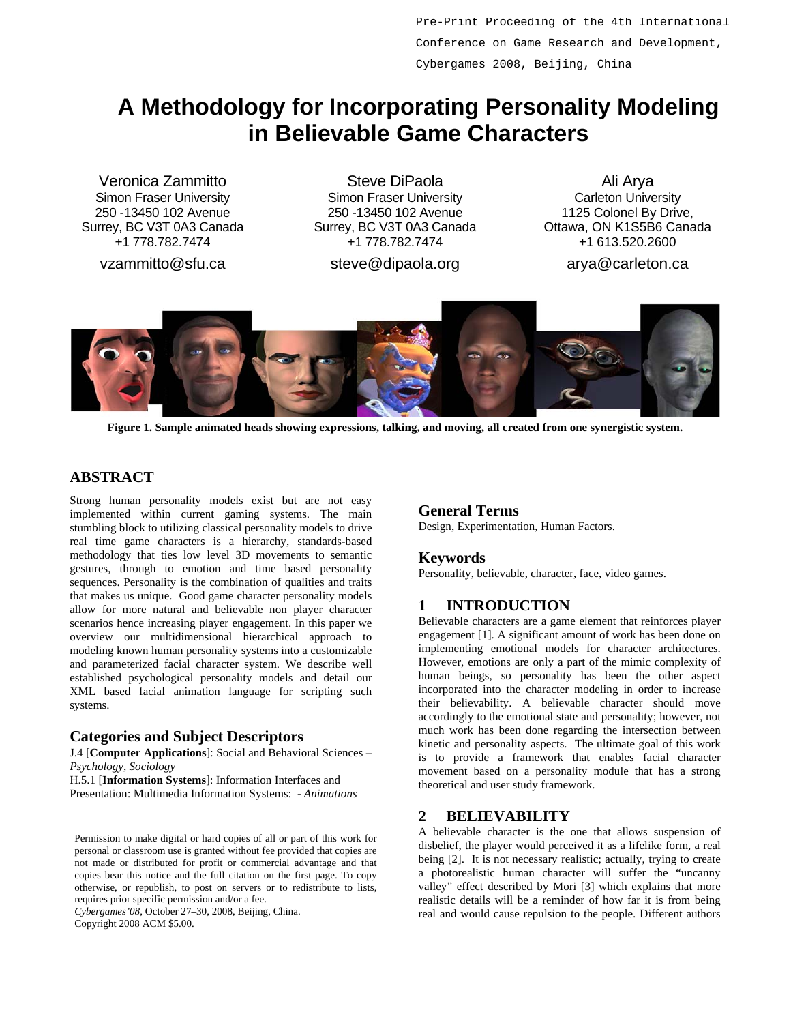Pre-Print Proceeding of the 4th International Conference on Game Research and Development, Cybergames 2008, Beijing, China

# **A Methodology for Incorporating Personality Modeling in Believable Game Characters**

Veronica Zammitto Simon Fraser University 250 -13450 102 Avenue Surrey, BC V3T 0A3 Canada +1 778.782.7474

vzammitto@sfu.ca

Steve DiPaola Simon Fraser University 250 -13450 102 Avenue Surrey, BC V3T 0A3 Canada +1 778.782.7474

steve@dipaola.org

Ali Arya Carleton University 1125 Colonel By Drive, Ottawa, ON K1S5B6 Canada +1 613.520.2600

arya@carleton.ca



**Figure 1. Sample animated heads showing expressions, talking, and moving, all created from one synergistic system.** 

# **ABSTRACT**

Strong human personality models exist but are not easy implemented within current gaming systems. The main stumbling block to utilizing classical personality models to drive real time game characters is a hierarchy, standards-based methodology that ties low level 3D movements to semantic gestures, through to emotion and time based personality sequences. Personality is the combination of qualities and traits that makes us unique. Good game character personality models allow for more natural and believable non player character scenarios hence increasing player engagement. In this paper we overview our multidimensional hierarchical approach to modeling known human personality systems into a customizable and parameterized facial character system. We describe well established psychological personality models and detail our XML based facial animation language for scripting such systems.

### **Categories and Subject Descriptors**

J.4 [**Computer Applications**]: Social and Behavioral Sciences – *Psychology, Sociology* 

H.5.1 [**Information Systems**]: Information Interfaces and Presentation: Multimedia Information Systems: - *Animations*

Permission to make digital or hard copies of all or part of this work for personal or classroom use is granted without fee provided that copies are not made or distributed for profit or commercial advantage and that copies bear this notice and the full citation on the first page. To copy otherwise, or republish, to post on servers or to redistribute to lists, requires prior specific permission and/or a fee.

*Cybergames'08*, October 27–30, 2008, Beijing, China. Copyright 2008 ACM \$5.00.

**General Terms** Design, Experimentation, Human Factors.

### **Keywords**

Personality, believable, character, face, video games.

# **1 INTRODUCTION**

Believable characters are a game element that reinforces player engagement [1]. A significant amount of work has been done on implementing emotional models for character architectures. However, emotions are only a part of the mimic complexity of human beings, so personality has been the other aspect incorporated into the character modeling in order to increase their believability. A believable character should move accordingly to the emotional state and personality; however, not much work has been done regarding the intersection between kinetic and personality aspects. The ultimate goal of this work is to provide a framework that enables facial character movement based on a personality module that has a strong theoretical and user study framework.

# **2 BELIEVABILITY**

A believable character is the one that allows suspension of disbelief, the player would perceived it as a lifelike form, a real being [2]. It is not necessary realistic; actually, trying to create a photorealistic human character will suffer the "uncanny valley" effect described by Mori [3] which explains that more realistic details will be a reminder of how far it is from being real and would cause repulsion to the people. Different authors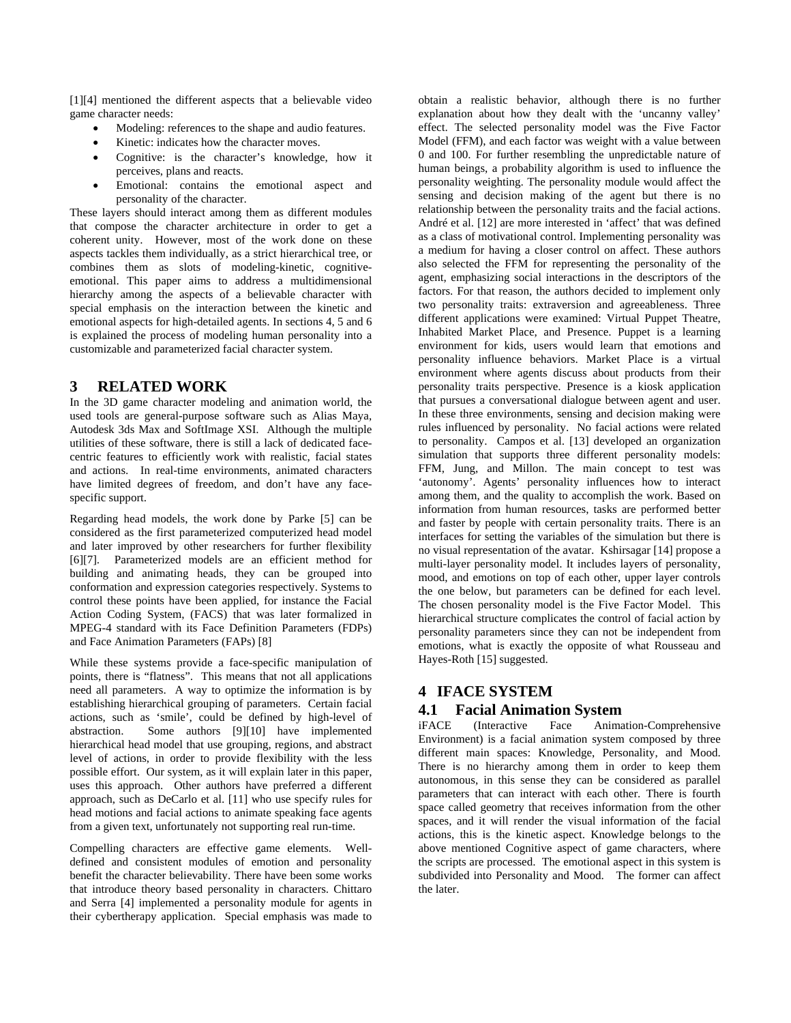[1][4] mentioned the different aspects that a believable video game character needs:

- Modeling: references to the shape and audio features.
- Kinetic: indicates how the character moves.
- Cognitive: is the character's knowledge, how it perceives, plans and reacts.
- Emotional: contains the emotional aspect and personality of the character.

These layers should interact among them as different modules that compose the character architecture in order to get a coherent unity. However, most of the work done on these aspects tackles them individually, as a strict hierarchical tree, or combines them as slots of modeling-kinetic, cognitiveemotional. This paper aims to address a multidimensional hierarchy among the aspects of a believable character with special emphasis on the interaction between the kinetic and emotional aspects for high-detailed agents. In sections 4, 5 and 6 is explained the process of modeling human personality into a customizable and parameterized facial character system.

## **3 RELATED WORK**

In the 3D game character modeling and animation world, the used tools are general-purpose software such as Alias Maya, Autodesk 3ds Max and SoftImage XSI. Although the multiple utilities of these software, there is still a lack of dedicated facecentric features to efficiently work with realistic, facial states and actions. In real-time environments, animated characters have limited degrees of freedom, and don't have any facespecific support.

Regarding head models, the work done by Parke [5] can be considered as the first parameterized computerized head model and later improved by other researchers for further flexibility [6][7]. Parameterized models are an efficient method for building and animating heads, they can be grouped into conformation and expression categories respectively. Systems to control these points have been applied, for instance the Facial Action Coding System, (FACS) that was later formalized in MPEG-4 standard with its Face Definition Parameters (FDPs) and Face Animation Parameters (FAPs) [8]

While these systems provide a face-specific manipulation of points, there is "flatness". This means that not all applications need all parameters. A way to optimize the information is by establishing hierarchical grouping of parameters. Certain facial actions, such as 'smile', could be defined by high-level of abstraction. Some authors [9][10] have implemented hierarchical head model that use grouping, regions, and abstract level of actions, in order to provide flexibility with the less possible effort. Our system, as it will explain later in this paper, uses this approach. Other authors have preferred a different approach, such as DeCarlo et al. [11] who use specify rules for head motions and facial actions to animate speaking face agents from a given text, unfortunately not supporting real run-time.

Compelling characters are effective game elements. Welldefined and consistent modules of emotion and personality benefit the character believability. There have been some works that introduce theory based personality in characters. Chittaro and Serra [4] implemented a personality module for agents in their cybertherapy application. Special emphasis was made to

obtain a realistic behavior, although there is no further explanation about how they dealt with the 'uncanny valley' effect. The selected personality model was the Five Factor Model (FFM), and each factor was weight with a value between 0 and 100. For further resembling the unpredictable nature of human beings, a probability algorithm is used to influence the personality weighting. The personality module would affect the sensing and decision making of the agent but there is no relationship between the personality traits and the facial actions. André et al. [12] are more interested in 'affect' that was defined as a class of motivational control. Implementing personality was a medium for having a closer control on affect. These authors also selected the FFM for representing the personality of the agent, emphasizing social interactions in the descriptors of the factors. For that reason, the authors decided to implement only two personality traits: extraversion and agreeableness. Three different applications were examined: Virtual Puppet Theatre, Inhabited Market Place, and Presence. Puppet is a learning environment for kids, users would learn that emotions and personality influence behaviors. Market Place is a virtual environment where agents discuss about products from their personality traits perspective. Presence is a kiosk application that pursues a conversational dialogue between agent and user. In these three environments, sensing and decision making were rules influenced by personality. No facial actions were related to personality. Campos et al. [13] developed an organization simulation that supports three different personality models: FFM, Jung, and Millon. The main concept to test was 'autonomy'. Agents' personality influences how to interact among them, and the quality to accomplish the work. Based on information from human resources, tasks are performed better and faster by people with certain personality traits. There is an interfaces for setting the variables of the simulation but there is no visual representation of the avatar. Kshirsagar [14] propose a multi-layer personality model. It includes layers of personality, mood, and emotions on top of each other, upper layer controls the one below, but parameters can be defined for each level. The chosen personality model is the Five Factor Model. This hierarchical structure complicates the control of facial action by personality parameters since they can not be independent from emotions, what is exactly the opposite of what Rousseau and Hayes-Roth [15] suggested.

# **4 IFACE SYSTEM**

# **4.1 Facial Animation System**

(Interactive Face Animation-Comprehensive Environment) is a facial animation system composed by three different main spaces: Knowledge, Personality, and Mood. There is no hierarchy among them in order to keep them autonomous, in this sense they can be considered as parallel parameters that can interact with each other. There is fourth space called geometry that receives information from the other spaces, and it will render the visual information of the facial actions, this is the kinetic aspect. Knowledge belongs to the above mentioned Cognitive aspect of game characters, where the scripts are processed. The emotional aspect in this system is subdivided into Personality and Mood. The former can affect the later.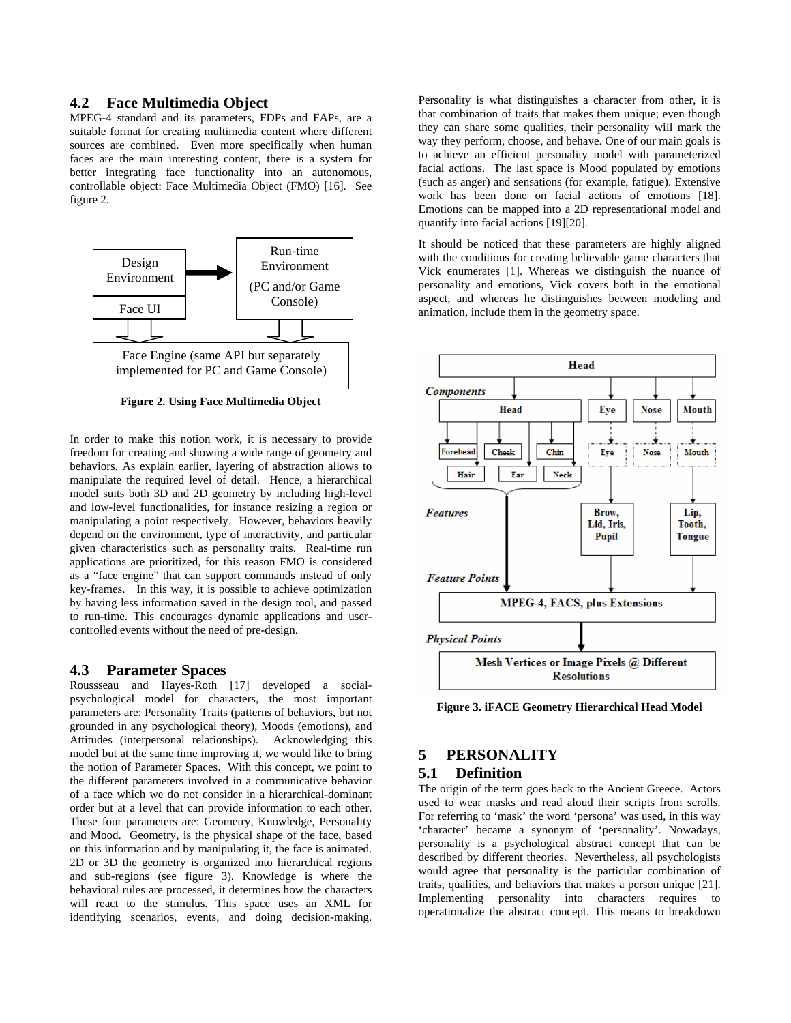#### **4.2 Face Multimedia Object**

MPEG-4 standard and its parameters, FDPs and FAPs, are a suitable format for creating multimedia content where different sources are combined. Even more specifically when human faces are the main interesting content, there is a system for better integrating face functionality into an autonomous, controllable object: Face Multimedia Object (FMO) [16]. See figure 2.



**Figure 2. Using Face Multimedia Object** 

In order to make this notion work, it is necessary to provide freedom for creating and showing a wide range of geometry and behaviors. As explain earlier, layering of abstraction allows to manipulate the required level of detail. Hence, a hierarchical model suits both 3D and 2D geometry by including high-level and low-level functionalities, for instance resizing a region or manipulating a point respectively. However, behaviors heavily depend on the environment, type of interactivity, and particular given characteristics such as personality traits. Real-time run applications are prioritized, for this reason FMO is considered as a "face engine" that can support commands instead of only key-frames. In this way, it is possible to achieve optimization by having less information saved in the design tool, and passed to run-time. This encourages dynamic applications and usercontrolled events without the need of pre-design.

#### **4.3 Parameter Spaces**

Roussseau and Hayes-Roth [17] developed a socialpsychological model for characters, the most important parameters are: Personality Traits (patterns of behaviors, but not grounded in any psychological theory), Moods (emotions), and Attitudes (interpersonal relationships). Acknowledging this model but at the same time improving it, we would like to bring the notion of Parameter Spaces. With this concept, we point to the different parameters involved in a communicative behavior of a face which we do not consider in a hierarchical-dominant order but at a level that can provide information to each other. These four parameters are: Geometry, Knowledge, Personality and Mood. Geometry, is the physical shape of the face, based on this information and by manipulating it, the face is animated. 2D or 3D the geometry is organized into hierarchical regions and sub-regions (see figure 3). Knowledge is where the behavioral rules are processed, it determines how the characters will react to the stimulus. This space uses an XML for identifying scenarios, events, and doing decision-making.

Personality is what distinguishes a character from other, it is that combination of traits that makes them unique; even though they can share some qualities, their personality will mark the way they perform, choose, and behave. One of our main goals is to achieve an efficient personality model with parameterized facial actions. The last space is Mood populated by emotions (such as anger) and sensations (for example, fatigue). Extensive work has been done on facial actions of emotions [18]. Emotions can be mapped into a 2D representational model and quantify into facial actions [19][20].

It should be noticed that these parameters are highly aligned with the conditions for creating believable game characters that Vick enumerates [1]. Whereas we distinguish the nuance of personality and emotions, Vick covers both in the emotional aspect, and whereas he distinguishes between modeling and animation, include them in the geometry space.



**Figure 3. iFACE Geometry Hierarchical Head Model** 

# **5 PERSONALITY**

#### **5.1 Definition**

The origin of the term goes back to the Ancient Greece. Actors used to wear masks and read aloud their scripts from scrolls. For referring to 'mask' the word 'persona' was used, in this way 'character' became a synonym of 'personality'. Nowadays, personality is a psychological abstract concept that can be described by different theories. Nevertheless, all psychologists would agree that personality is the particular combination of traits, qualities, and behaviors that makes a person unique [21]. Implementing personality into characters requires to operationalize the abstract concept. This means to breakdown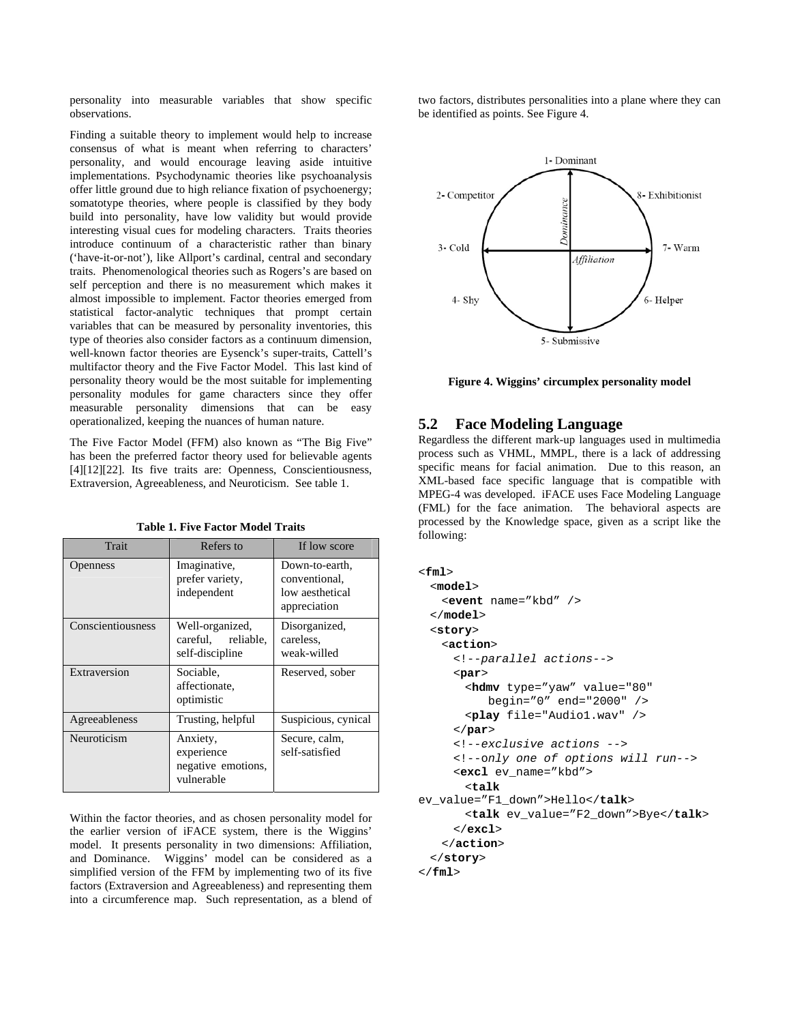personality into measurable variables that show specific observations.

Finding a suitable theory to implement would help to increase consensus of what is meant when referring to characters' personality, and would encourage leaving aside intuitive implementations. Psychodynamic theories like psychoanalysis offer little ground due to high reliance fixation of psychoenergy; somatotype theories, where people is classified by they body build into personality, have low validity but would provide interesting visual cues for modeling characters. Traits theories introduce continuum of a characteristic rather than binary ('have-it-or-not'), like Allport's cardinal, central and secondary traits. Phenomenological theories such as Rogers's are based on self perception and there is no measurement which makes it almost impossible to implement. Factor theories emerged from statistical factor-analytic techniques that prompt certain variables that can be measured by personality inventories, this type of theories also consider factors as a continuum dimension, well-known factor theories are Eysenck's super-traits, Cattell's multifactor theory and the Five Factor Model. This last kind of personality theory would be the most suitable for implementing personality modules for game characters since they offer measurable personality dimensions that can be easy operationalized, keeping the nuances of human nature.

The Five Factor Model (FFM) also known as "The Big Five" has been the preferred factor theory used for believable agents [4][12][22]. Its five traits are: Openness, Conscientiousness, Extraversion, Agreeableness, and Neuroticism. See table 1.

| <b>Trait</b>      | Refers to                                                  | If low score                                                       |
|-------------------|------------------------------------------------------------|--------------------------------------------------------------------|
| Openness          | Imaginative,<br>prefer variety,<br>independent             | Down-to-earth,<br>conventional,<br>low aesthetical<br>appreciation |
| Conscientiousness | Well-organized,<br>careful, reliable,<br>self-discipline   | Disorganized,<br>careless,<br>weak-willed                          |
| Extraversion      | Sociable,<br>affectionate,<br>optimistic                   | Reserved, sober                                                    |
| Agreeableness     | Trusting, helpful                                          | Suspicious, cynical                                                |
| Neuroticism       | Anxiety,<br>experience<br>negative emotions,<br>vulnerable | Secure, calm,<br>self-satisfied                                    |

**Table 1. Five Factor Model Traits** 

Within the factor theories, and as chosen personality model for the earlier version of iFACE system, there is the Wiggins' model. It presents personality in two dimensions: Affiliation, and Dominance. Wiggins' model can be considered as a simplified version of the FFM by implementing two of its five factors (Extraversion and Agreeableness) and representing them into a circumference map. Such representation, as a blend of two factors, distributes personalities into a plane where they can be identified as points. See Figure 4.



**Figure 4. Wiggins' circumplex personality model** 

#### **5.2 Face Modeling Language**

Regardless the different mark-up languages used in multimedia process such as VHML, MMPL, there is a lack of addressing specific means for facial animation. Due to this reason, an XML-based face specific language that is compatible with MPEG-4 was developed. iFACE uses Face Modeling Language (FML) for the face animation. The behavioral aspects are processed by the Knowledge space, given as a script like the following:

```
<fml> 
   <model> 
     <event name="kbd" /> 
  </model> 
  <story> 
    <action> 
      <!--parallel actions-->
      <par> 
        <hdmv type="yaw" value="80" 
            begin="0" end="2000" /> 
        <play file="Audio1.wav" /> 
      </par> 
      <!--exclusive actions -->
      <!--only one of options will run-->
      <excl ev_name="kbd"> 
        <talk
ev_value="F1_down">Hello</talk> 
        <talk ev_value="F2_down">Bye</talk> 
      </excl> 
    </action> 
  </story> 
</fml>
```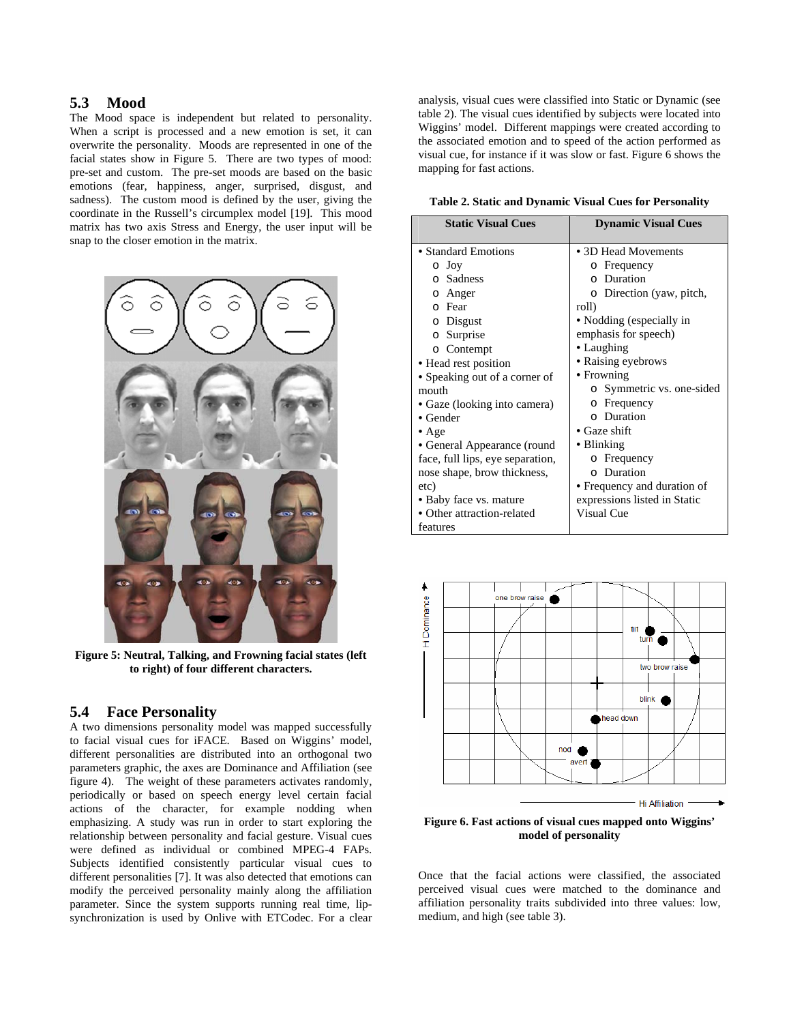### **5.3 Mood**

The Mood space is independent but related to personality. When a script is processed and a new emotion is set, it can overwrite the personality. Moods are represented in one of the facial states show in Figure 5. There are two types of mood: pre-set and custom. The pre-set moods are based on the basic emotions (fear, happiness, anger, surprised, disgust, and sadness). The custom mood is defined by the user, giving the coordinate in the Russell's circumplex model [19]. This mood matrix has two axis Stress and Energy, the user input will be snap to the closer emotion in the matrix.



**Figure 5: Neutral, Talking, and Frowning facial states (left to right) of four different characters.** 

#### **5.4 Face Personality**

A two dimensions personality model was mapped successfully to facial visual cues for iFACE. Based on Wiggins' model, different personalities are distributed into an orthogonal two parameters graphic, the axes are Dominance and Affiliation (see figure 4). The weight of these parameters activates randomly, periodically or based on speech energy level certain facial actions of the character, for example nodding when emphasizing. A study was run in order to start exploring the relationship between personality and facial gesture. Visual cues were defined as individual or combined MPEG-4 FAPs. Subjects identified consistently particular visual cues to different personalities [7]. It was also detected that emotions can modify the perceived personality mainly along the affiliation parameter. Since the system supports running real time, lipsynchronization is used by Onlive with ETCodec. For a clear

analysis, visual cues were classified into Static or Dynamic (see table 2). The visual cues identified by subjects were located into Wiggins' model. Different mappings were created according to the associated emotion and to speed of the action performed as visual cue, for instance if it was slow or fast. Figure 6 shows the mapping for fast actions.

**Table 2. Static and Dynamic Visual Cues for Personality** 

| <b>Static Visual Cues</b>        | <b>Dynamic Visual Cues</b>   |
|----------------------------------|------------------------------|
| • Standard Emotions              | • 3D Head Movements          |
| o Joy                            | Frequency<br>$\Omega$        |
| o Sadness                        | o Duration                   |
| Anger<br>$\Omega$                | o Direction (yaw, pitch,     |
| Fear<br>$\Omega$                 | roll)                        |
| o Disgust                        | • Nodding (especially in     |
| o Surprise                       | emphasis for speech)         |
| o Contempt                       | • Laughing                   |
| · Head rest position             | • Raising eyebrows           |
| • Speaking out of a corner of    | • Frowning                   |
| mouth                            | o Symmetric vs. one-sided    |
| · Gaze (looking into camera)     | o Frequency                  |
| $\bullet$ Gender                 | o Duration                   |
| $\bullet$ Age                    | $\bullet$ Gaze shift         |
| • General Appearance (round      | • Blinking                   |
| face, full lips, eye separation, | o Frequency                  |
| nose shape, brow thickness,      | o Duration                   |
| etc)                             | • Frequency and duration of  |
| • Baby face vs. mature           | expressions listed in Static |
| • Other attraction-related       | Visual Cue                   |
| features                         |                              |



**Figure 6. Fast actions of visual cues mapped onto Wiggins' model of personality** 

Once that the facial actions were classified, the associated perceived visual cues were matched to the dominance and affiliation personality traits subdivided into three values: low, medium, and high (see table 3).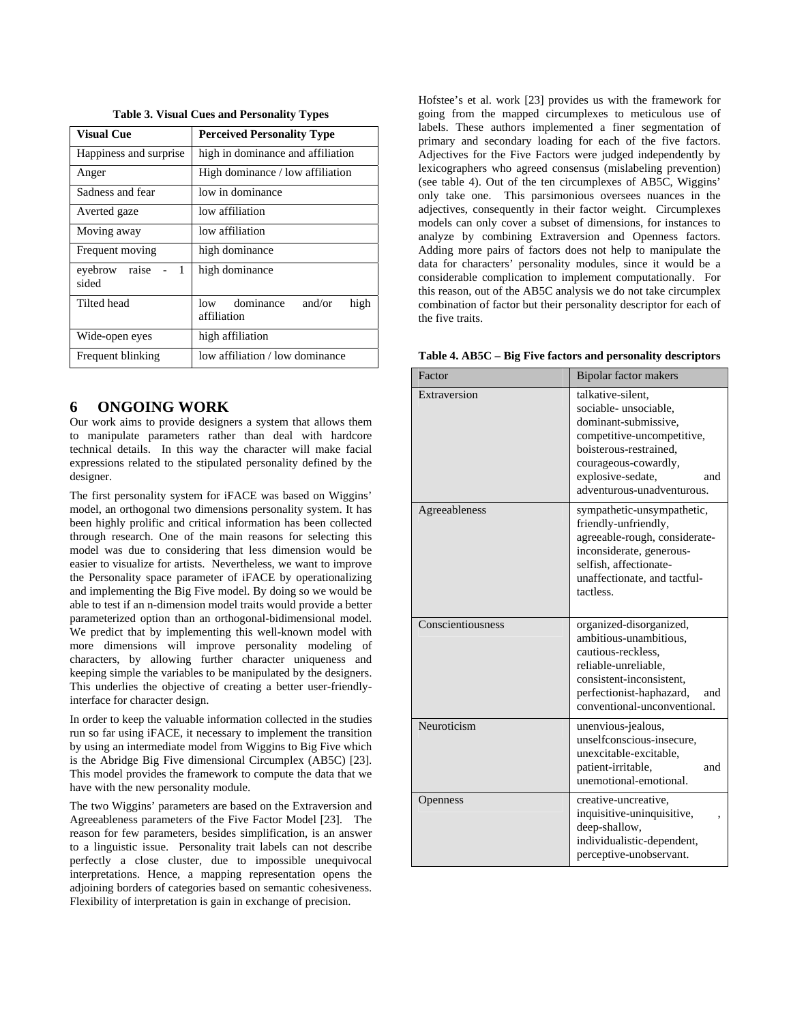| <b>Visual Cue</b>         | <b>Perceived Personality Type</b>                 |  |
|---------------------------|---------------------------------------------------|--|
| Happiness and surprise    | high in dominance and affiliation                 |  |
| Anger                     | High dominance / low affiliation                  |  |
| Sadness and fear          | low in dominance                                  |  |
| Averted gaze              | low affiliation                                   |  |
| Moving away               | low affiliation                                   |  |
| Frequent moving           | high dominance                                    |  |
| raise<br>evebrow<br>sided | high dominance                                    |  |
| Tilted head               | dominance<br>and/or<br>high<br>low<br>affiliation |  |
| Wide-open eyes            | high affiliation                                  |  |
| Frequent blinking         | low affiliation / low dominance                   |  |

**Table 3. Visual Cues and Personality Types** 

### **6 ONGOING WORK**

Our work aims to provide designers a system that allows them to manipulate parameters rather than deal with hardcore technical details. In this way the character will make facial expressions related to the stipulated personality defined by the designer.

The first personality system for iFACE was based on Wiggins' model, an orthogonal two dimensions personality system. It has been highly prolific and critical information has been collected through research. One of the main reasons for selecting this model was due to considering that less dimension would be easier to visualize for artists. Nevertheless, we want to improve the Personality space parameter of iFACE by operationalizing and implementing the Big Five model. By doing so we would be able to test if an n-dimension model traits would provide a better parameterized option than an orthogonal-bidimensional model. We predict that by implementing this well-known model with more dimensions will improve personality modeling of characters, by allowing further character uniqueness and keeping simple the variables to be manipulated by the designers. This underlies the objective of creating a better user-friendlyinterface for character design.

In order to keep the valuable information collected in the studies run so far using iFACE, it necessary to implement the transition by using an intermediate model from Wiggins to Big Five which is the Abridge Big Five dimensional Circumplex (AB5C) [23]. This model provides the framework to compute the data that we have with the new personality module.

The two Wiggins' parameters are based on the Extraversion and Agreeableness parameters of the Five Factor Model [23]. The reason for few parameters, besides simplification, is an answer to a linguistic issue. Personality trait labels can not describe perfectly a close cluster, due to impossible unequivocal interpretations. Hence, a mapping representation opens the adjoining borders of categories based on semantic cohesiveness. Flexibility of interpretation is gain in exchange of precision.

Hofstee's et al. work [23] provides us with the framework for going from the mapped circumplexes to meticulous use of labels. These authors implemented a finer segmentation of primary and secondary loading for each of the five factors. Adjectives for the Five Factors were judged independently by lexicographers who agreed consensus (mislabeling prevention) (see table 4). Out of the ten circumplexes of AB5C, Wiggins' only take one. This parsimonious oversees nuances in the adjectives, consequently in their factor weight. Circumplexes models can only cover a subset of dimensions, for instances to analyze by combining Extraversion and Openness factors. Adding more pairs of factors does not help to manipulate the data for characters' personality modules, since it would be a considerable complication to implement computationally. For this reason, out of the AB5C analysis we do not take circumplex combination of factor but their personality descriptor for each of the five traits.

**Table 4. AB5C – Big Five factors and personality descriptors** 

| Factor            | <b>Bipolar factor makers</b>                                                                                                                                                                                |
|-------------------|-------------------------------------------------------------------------------------------------------------------------------------------------------------------------------------------------------------|
| Extraversion      | talkative-silent,<br>sociable-unsociable,<br>dominant-submissive.<br>competitive-uncompetitive,<br>boisterous-restrained.<br>courageous-cowardly,<br>explosive-sedate,<br>and<br>adventurous-unadventurous. |
| Agreeableness     | sympathetic-unsympathetic,<br>friendly-unfriendly,<br>agreeable-rough, considerate-<br>inconsiderate, generous-<br>selfish, affectionate-<br>unaffectionate, and tactful-<br>tactless.                      |
| Conscientiousness | organized-disorganized,<br>ambitious-unambitious.<br>cautious-reckless.<br>reliable-unreliable,<br>consistent-inconsistent.<br>perfectionist-haphazard,<br>and<br>conventional-unconventional.              |
| Neuroticism       | unenvious-jealous,<br>unselfconscious-insecure,<br>unexcitable-excitable,<br>patient-irritable,<br>and<br>unemotional-emotional.                                                                            |
| Openness          | creative-uncreative,<br>inquisitive-uninquisitive,<br>deep-shallow,<br>individualistic-dependent,<br>perceptive-unobservant.                                                                                |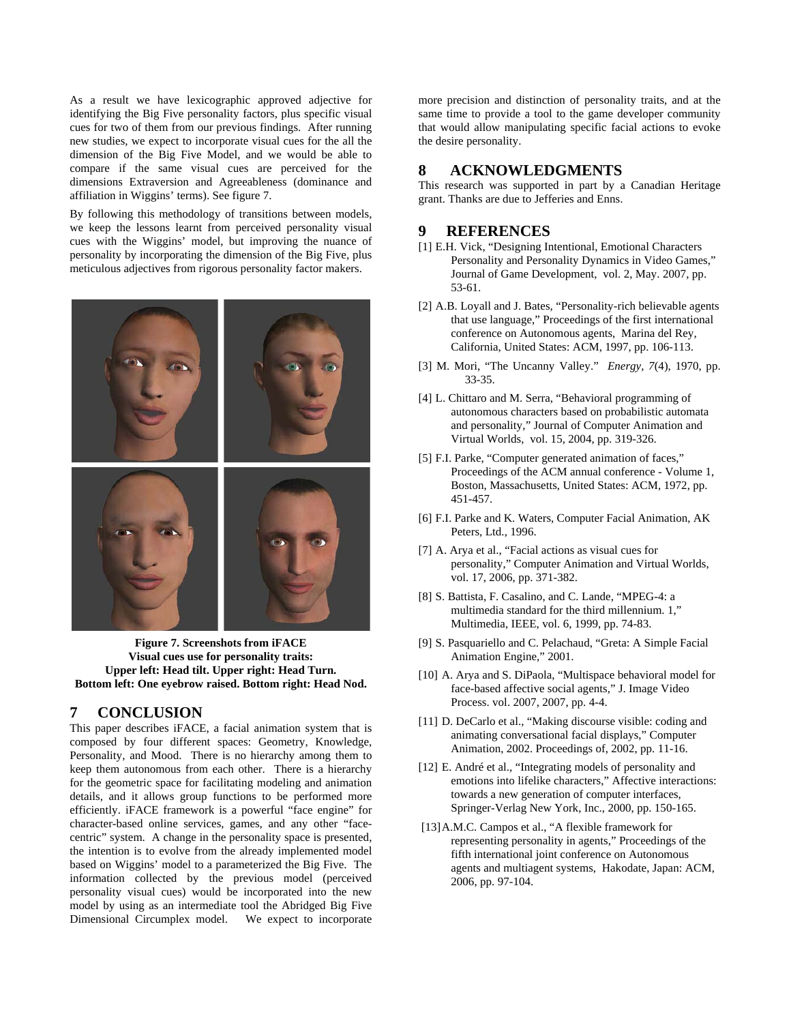As a result we have lexicographic approved adjective for identifying the Big Five personality factors, plus specific visual cues for two of them from our previous findings. After running new studies, we expect to incorporate visual cues for the all the dimension of the Big Five Model, and we would be able to compare if the same visual cues are perceived for the dimensions Extraversion and Agreeableness (dominance and affiliation in Wiggins' terms). See figure 7.

By following this methodology of transitions between models, we keep the lessons learnt from perceived personality visual cues with the Wiggins' model, but improving the nuance of personality by incorporating the dimension of the Big Five, plus meticulous adjectives from rigorous personality factor makers.



**Figure 7. Screenshots from iFACE Visual cues use for personality traits: Upper left: Head tilt. Upper right: Head Turn. Bottom left: One eyebrow raised. Bottom right: Head Nod.** 

### **7 CONCLUSION**

This paper describes iFACE, a facial animation system that is composed by four different spaces: Geometry, Knowledge, Personality, and Mood. There is no hierarchy among them to keep them autonomous from each other. There is a hierarchy for the geometric space for facilitating modeling and animation details, and it allows group functions to be performed more efficiently. iFACE framework is a powerful "face engine" for character-based online services, games, and any other "facecentric" system. A change in the personality space is presented, the intention is to evolve from the already implemented model based on Wiggins' model to a parameterized the Big Five. The information collected by the previous model (perceived personality visual cues) would be incorporated into the new model by using as an intermediate tool the Abridged Big Five Dimensional Circumplex model. We expect to incorporate

more precision and distinction of personality traits, and at the same time to provide a tool to the game developer community that would allow manipulating specific facial actions to evoke the desire personality.

## **8 ACKNOWLEDGMENTS**

This research was supported in part by a Canadian Heritage grant. Thanks are due to Jefferies and Enns.

#### **9 REFERENCES**

- [1] E.H. Vick, "Designing Intentional, Emotional Characters Personality and Personality Dynamics in Video Games," Journal of Game Development, vol. 2, May. 2007, pp. 53-61.
- [2] A.B. Loyall and J. Bates, "Personality-rich believable agents that use language," Proceedings of the first international conference on Autonomous agents, Marina del Rey, California, United States: ACM, 1997, pp. 106-113.
- [3] M. Mori, "The Uncanny Valley." *Energy*, *7*(4), 1970, pp. 33-35.
- [4] L. Chittaro and M. Serra, "Behavioral programming of autonomous characters based on probabilistic automata and personality," Journal of Computer Animation and Virtual Worlds, vol. 15, 2004, pp. 319-326.
- [5] F.I. Parke, "Computer generated animation of faces," Proceedings of the ACM annual conference - Volume 1, Boston, Massachusetts, United States: ACM, 1972, pp. 451-457.
- [6] F.I. Parke and K. Waters, Computer Facial Animation, AK Peters, Ltd., 1996.
- [7] A. Arya et al., "Facial actions as visual cues for personality," Computer Animation and Virtual Worlds, vol. 17, 2006, pp. 371-382.
- [8] S. Battista, F. Casalino, and C. Lande, "MPEG-4: a multimedia standard for the third millennium. 1," Multimedia, IEEE, vol. 6, 1999, pp. 74-83.
- [9] S. Pasquariello and C. Pelachaud, "Greta: A Simple Facial Animation Engine," 2001.
- [10] A. Arya and S. DiPaola, "Multispace behavioral model for face-based affective social agents," J. Image Video Process. vol. 2007, 2007, pp. 4-4.
- [11] D. DeCarlo et al., "Making discourse visible: coding and animating conversational facial displays," Computer Animation, 2002. Proceedings of, 2002, pp. 11-16.
- [12] E. André et al., "Integrating models of personality and emotions into lifelike characters," Affective interactions: towards a new generation of computer interfaces, Springer-Verlag New York, Inc., 2000, pp. 150-165.
- [13] A.M.C. Campos et al., "A flexible framework for representing personality in agents," Proceedings of the fifth international joint conference on Autonomous agents and multiagent systems, Hakodate, Japan: ACM, 2006, pp. 97-104.